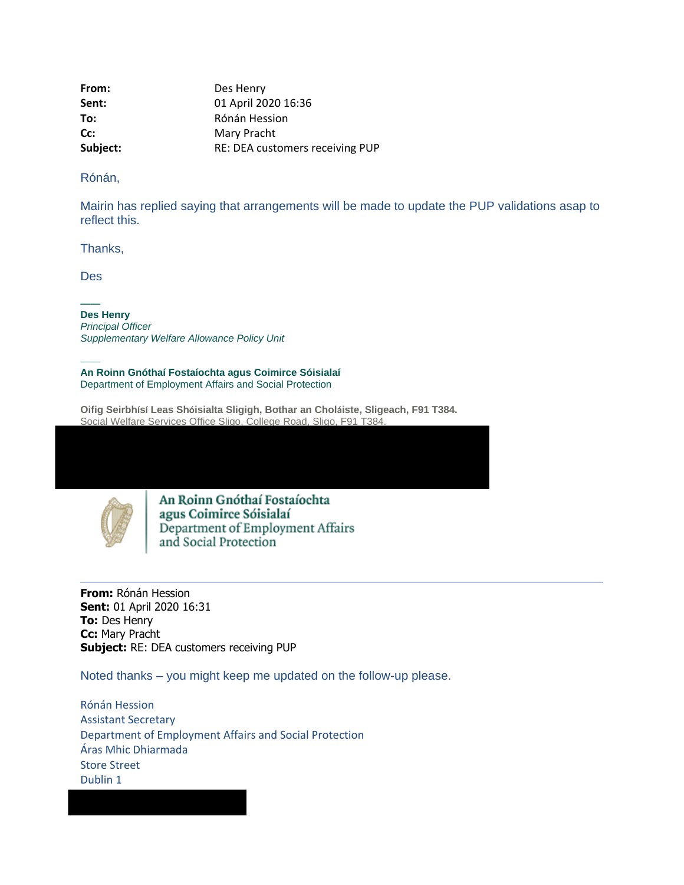| From:    | Des Henry                       |
|----------|---------------------------------|
| Sent:    | 01 April 2020 16:36             |
| To:      | Rónán Hession                   |
| Cc:      | Mary Pracht                     |
| Subject: | RE: DEA customers receiving PUP |

Rónán,

Mairin has replied saying that arrangements will be made to update the PUP validations asap to reflect this.

Thanks,

Des

**—— Des Henry** *Principal Officer Supplementary Welfare Allowance Policy Unit*

—— **An Roinn Gnóthaí Fostaíochta agus Coimirce Sóisialaí** Department of Employment Affairs and Social Protection

**Oifig Seirbhísí Leas Shóisialta Sligigh, Bothar an Choláiste, Sligeach, F91 T384.** Social Welfare Services Office Sligo, College Road, Sligo, F91 T384.



Mobile: 087-331 0564

An Roinn Gnóthaí Fostaíochta agus Coimirce Sóisialaí Department of Employment Affairs and Social Protection

**From:** Rónán Hession **Sent:** 01 April 2020 16:31 **To:** Des Henry **Cc:** Mary Pracht **Subject:** RE: DEA customers receiving PUP

Noted thanks – you might keep me updated on the follow-up please.

Rónán Hession Assistant Secretary Department of Employment Affairs and Social Protection Áras Mhic Dhiarmada Store Street Dublin 1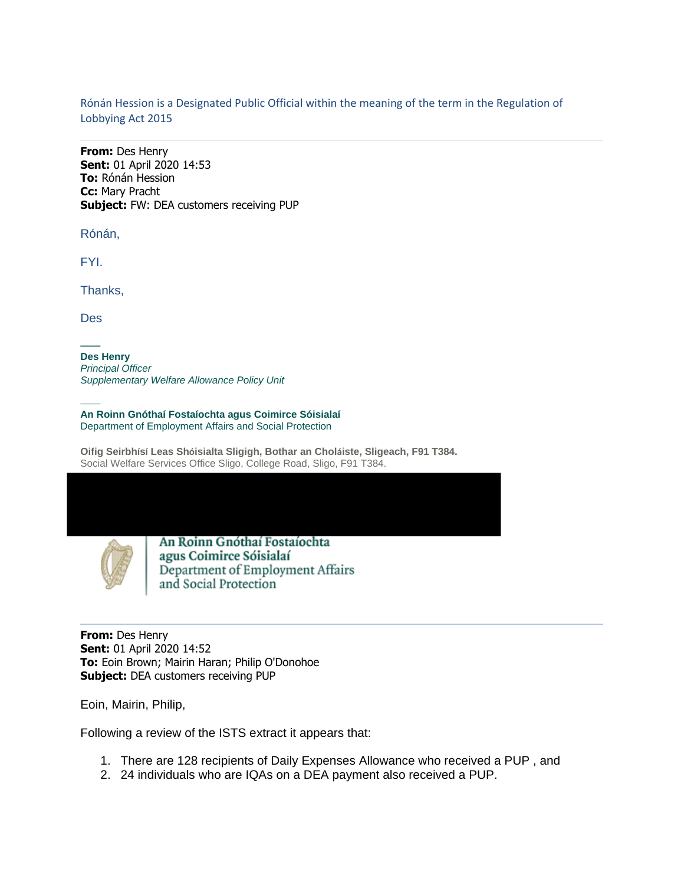Rónán Hession is a Designated Public Official within the meaning of the term in the Regulation of Lobbying Act 2015

**From:** Des Henry **Sent:** 01 April 2020 14:53 **To:** Rónán Hession **Cc:** Mary Pracht **Subject:** FW: DEA customers receiving PUP

Rónán,

FYI.

Thanks,

Des

**——**

——

**Des Henry** *Principal Officer Supplementary Welfare Allowance Policy Unit*

—— **An Roinn Gnóthaí Fostaíochta agus Coimirce Sóisialaí** Department of Employment Affairs and Social Protection

**Oifig Seirbhísí Leas Shóisialta Sligigh, Bothar an Choláiste, Sligeach, F91 T384.** Social Welfare Services Office Sligo, College Road, Sligo, F91 T384.

An Roinn Gnóthaí Fostaíochta agus Coimirce Sóisialaí Department of Employment Affairs and Social Protection

**From:** Des Henry **Sent:** 01 April 2020 14:52 **To:** Eoin Brown; Mairin Haran; Philip O'Donohoe **Subject:** DEA customers receiving PUP

Eoin, Mairin, Philip,

Following a review of the ISTS extract it appears that:

- 1. There are 128 recipients of Daily Expenses Allowance who received a PUP , and
- 2. 24 individuals who are IQAs on a DEA payment also received a PUP.